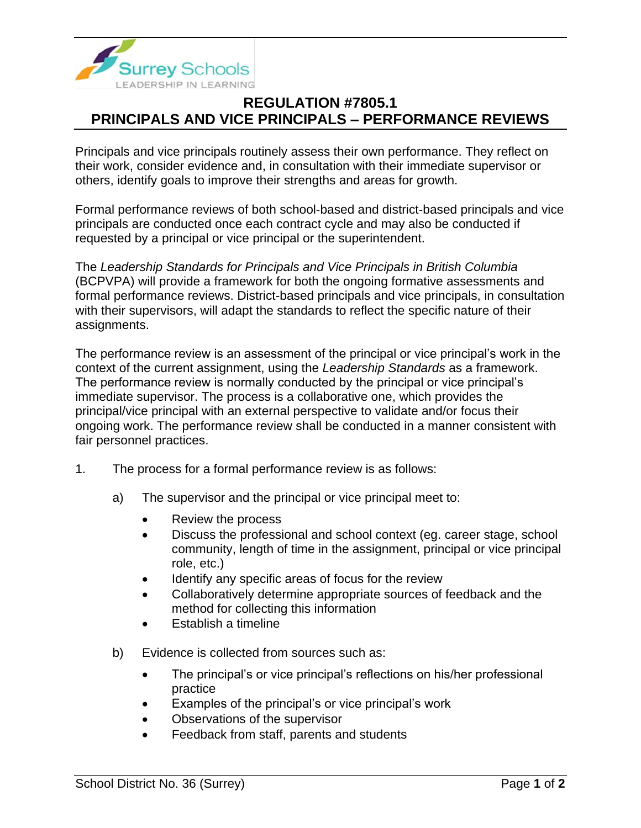

## **REGULATION #7805.1 PRINCIPALS AND VICE PRINCIPALS – PERFORMANCE REVIEWS**

Principals and vice principals routinely assess their own performance. They reflect on their work, consider evidence and, in consultation with their immediate supervisor or others, identify goals to improve their strengths and areas for growth.

Formal performance reviews of both school-based and district-based principals and vice principals are conducted once each contract cycle and may also be conducted if requested by a principal or vice principal or the superintendent.

The *Leadership Standards for Principals and Vice Principals in British Columbia* (BCPVPA) will provide a framework for both the ongoing formative assessments and formal performance reviews. District-based principals and vice principals, in consultation with their supervisors, will adapt the standards to reflect the specific nature of their assignments.

The performance review is an assessment of the principal or vice principal's work in the context of the current assignment, using the *Leadership Standards* as a framework. The performance review is normally conducted by the principal or vice principal's immediate supervisor. The process is a collaborative one, which provides the principal/vice principal with an external perspective to validate and/or focus their ongoing work. The performance review shall be conducted in a manner consistent with fair personnel practices.

- 1. The process for a formal performance review is as follows:
	- a) The supervisor and the principal or vice principal meet to:
		- Review the process
		- Discuss the professional and school context (eg. career stage, school community, length of time in the assignment, principal or vice principal role, etc.)
		- Identify any specific areas of focus for the review
		- Collaboratively determine appropriate sources of feedback and the method for collecting this information
		- Establish a timeline
	- b) Evidence is collected from sources such as:
		- The principal's or vice principal's reflections on his/her professional practice
		- Examples of the principal's or vice principal's work
		- Observations of the supervisor
		- Feedback from staff, parents and students